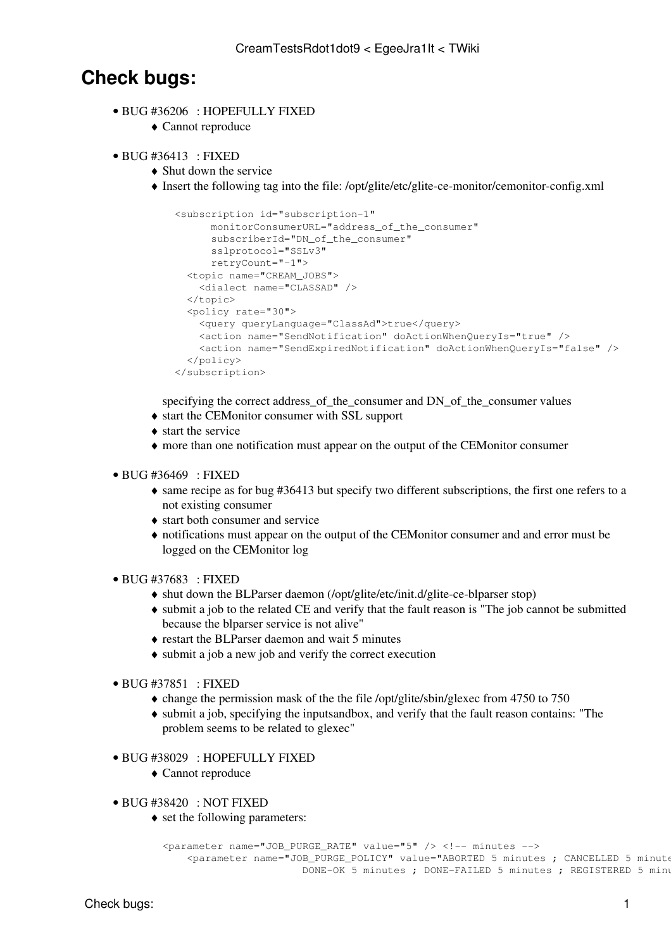## **Check bugs:**

- BUG [#36206](https://savannah.cern.ch/bugs/?36206) : HOPEFULLY FIXED
	- ♦ Cannot reproduce
- BUG [#36413](https://savannah.cern.ch/bugs/?36413) : FIXED
	- $\triangle$  Shut down the service
	- Insert the following tag into the file: /opt/glite/etc/glite-ce-monitor/cemonitor-config.xml ♦

```
 <subscription id="subscription-1"
     monitorConsumerURL="address_of_the_consumer"
     subscriberId="DN_of_the_consumer"
     sslprotocol="SSLv3"
     retryCount="-1">
  <topic name="CREAM_JOBS">
   <dialect name="CLASSAD" />
  </topic>
  <policy rate="30">
    <query queryLanguage="ClassAd">true</query>
    <action name="SendNotification" doActionWhenQueryIs="true" />
    <action name="SendExpiredNotification" doActionWhenQueryIs="false" />
  </policy>
</subscription>
```
specifying the correct address of the consumer and DN of the consumer values

- ♦ start the CEMonitor consumer with SSL support
- ♦ start the service
- ♦ more than one notification must appear on the output of the CEMonitor consumer
- BUG [#36469](https://savannah.cern.ch/bugs/?36469) : FIXED
	- same recipe as for bug #36413 but specify two different subscriptions, the first one refers to a ♦ not existing consumer
	- ♦ start both consumer and service
	- notifications must appear on the output of the CEMonitor consumer and and error must be ♦ logged on the CEMonitor log
- BUG [#37683](https://savannah.cern.ch/bugs/?37683) : FIXED
	- ♦ shut down the BLParser daemon (/opt/glite/etc/init.d/glite-ce-blparser stop)
	- submit a job to the related CE and verify that the fault reason is "The job cannot be submitted ♦ because the blparser service is not alive"
	- ♦ restart the BLParser daemon and wait 5 minutes
	- ♦ submit a job a new job and verify the correct execution
- BUG [#37851](https://savannah.cern.ch/bugs/?37851) : FIXED
	- $\triangle$  change the permission mask of the the file /opt/glite/sbin/glexec from 4750 to 750
	- submit a job, specifying the inputsandbox, and verify that the fault reason contains: "The ♦ problem seems to be related to glexec"
- BUG [#38029](https://savannah.cern.ch/bugs/?38029) : HOPEFULLY FIXED
	- ♦ Cannot reproduce
- BUG [#38420](https://savannah.cern.ch/bugs/?38420) : NOT FIXED
	- set the following parameters:

```
<parameter name="JOB_PURGE_RATE" value="5" /> <!-- minutes -->
    <parameter name="JOB_PURGE_POLICY" value="ABORTED 5 minutes ; CANCELLED 5 minutes ; 
                      DONE-OK 5 minutes ; DONE-FAILED 5 minutes ; REGISTERED 5 minu
```